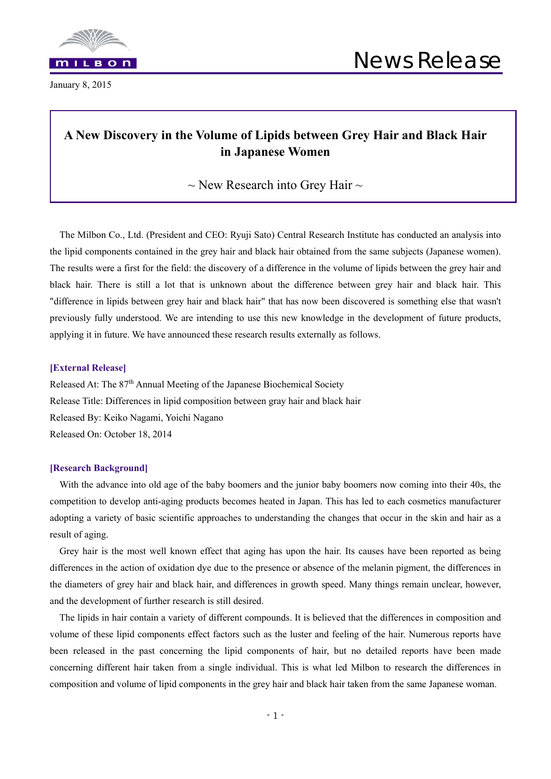

January 8, 2015

## **A New Discovery in the Volume of Lipids between Grey Hair and Black Hair in Japanese Women**

 $\sim$  New Research into Grey Hair  $\sim$ 

The Milbon Co., Ltd. (President and CEO: Ryuji Sato) Central Research Institute has conducted an analysis into the lipid components contained in the grey hair and black hair obtained from the same subjects (Japanese women). The results were a first for the field: the discovery of a difference in the volume of lipids between the grey hair and black hair. There is still a lot that is unknown about the difference between grey hair and black hair. This "difference in lipids between grey hair and black hair" that has now been discovered is something else that wasn't previously fully understood. We are intending to use this new knowledge in the development of future products, applying it in future. We have announced these research results externally as follows.

#### **[External Release]**

Released At: The 87<sup>th</sup> Annual Meeting of the Japanese Biochemical Society Release Title: Differences in lipid composition between gray hair and black hair Released By: Keiko Nagami, Yoichi Nagano Released On: October 18, 2014

#### **[Research Background]**

With the advance into old age of the baby boomers and the junior baby boomers now coming into their 40s, the competition to develop anti-aging products becomes heated in Japan. This has led to each cosmetics manufacturer adopting a variety of basic scientific approaches to understanding the changes that occur in the skin and hair as a result of aging.

Grey hair is the most well known effect that aging has upon the hair. Its causes have been reported as being differences in the action of oxidation dye due to the presence or absence of the melanin pigment, the differences in the diameters of grey hair and black hair, and differences in growth speed. Many things remain unclear, however, and the development of further research is still desired.

The lipids in hair contain a variety of different compounds. It is believed that the differences in composition and volume of these lipid components effect factors such as the luster and feeling of the hair. Numerous reports have been released in the past concerning the lipid components of hair, but no detailed reports have been made concerning different hair taken from a single individual. This is what led Milbon to research the differences in composition and volume of lipid components in the grey hair and black hair taken from the same Japanese woman.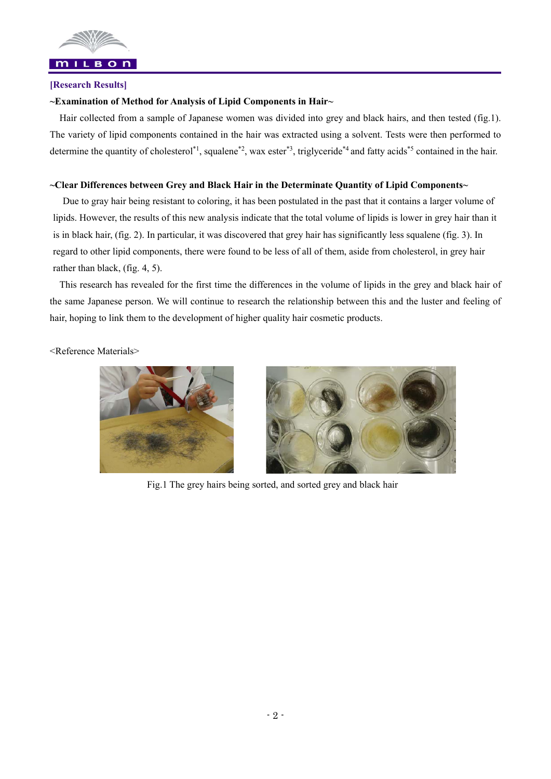

# **[Research Results]**

### **~Examination of Method for Analysis of Lipid Components in Hair~**

Hair collected from a sample of Japanese women was divided into grey and black hairs, and then tested (fig.1). The variety of lipid components contained in the hair was extracted using a solvent. Tests were then performed to determine the quantity of cholesterol<sup>\*1</sup>, squalene<sup>\*2</sup>, wax ester<sup>\*3</sup>, triglyceride<sup>\*4</sup> and fatty acids<sup>\*5</sup> contained in the hair.

### **~Clear Differences between Grey and Black Hair in the Determinate Quantity of Lipid Components~**

Due to gray hair being resistant to coloring, it has been postulated in the past that it contains a larger volume of lipids. However, the results of this new analysis indicate that the total volume of lipids is lower in grey hair than it is in black hair, (fig. 2). In particular, it was discovered that grey hair has significantly less squalene (fig. 3). In regard to other lipid components, there were found to be less of all of them, aside from cholesterol, in grey hair rather than black, (fig. 4, 5).

This research has revealed for the first time the differences in the volume of lipids in the grey and black hair of the same Japanese person. We will continue to research the relationship between this and the luster and feeling of hair, hoping to link them to the development of higher quality hair cosmetic products.

<Reference Materials>





Fig.1 The grey hairs being sorted, and sorted grey and black hair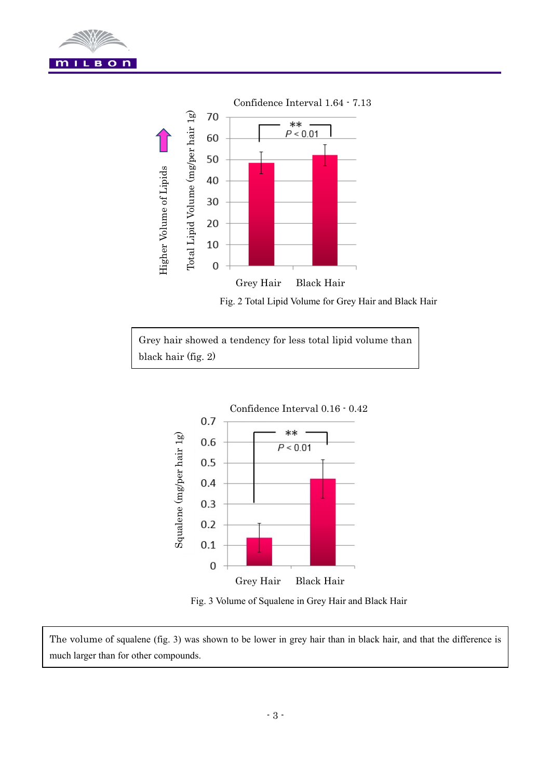



Fig. 2 Total Lipid Volume for Grey Hair and Black Hair

Grey hair showed a tendency for less total lipid volume than black hair (fig. 2)



Fig. 3 Volume of Squalene in Grey Hair and Black Hair

The volume of squalene (fig. 3) was shown to be lower in grey hair than in black hair, and that the difference is much larger than for other compounds.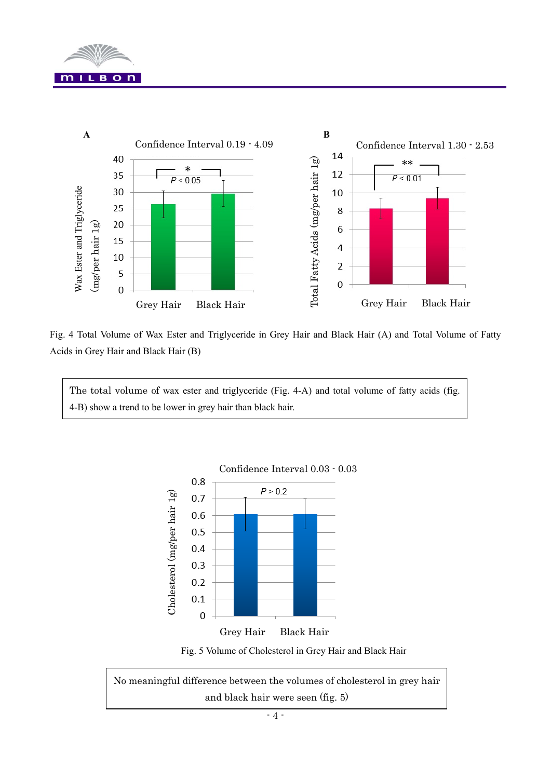



Fig. 4 Total Volume of Wax Ester and Triglyceride in Grey Hair and Black Hair (A) and Total Volume of Fatty Acids in Grey Hair and Black Hair (B)

The total volume of wax ester and triglyceride (Fig. 4-A) and total volume of fatty acids (fig. 4-B) show a trend to be lower in grey hair than black hair.



Confidence Interval 0.03 - 0.03

Fig. 5 Volume of Cholesterol in Grey Hair and Black Hair

No meaningful difference between the volumes of cholesterol in grey hair and black hair were seen (fig. 5)